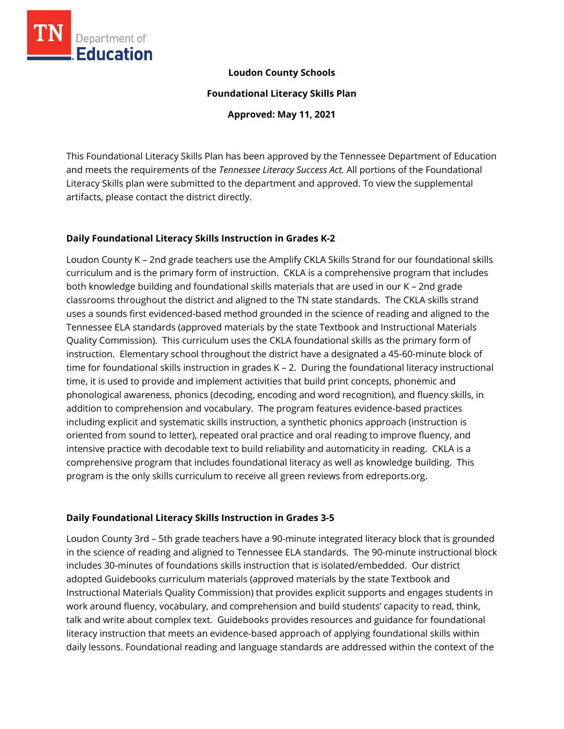

### **Loudon County Schools**

#### **Foundational Literacy Skills Plan**

**Approved: May 11, 2021**

This Foundational Literacy Skills Plan has been approved by the Tennessee Department of Education and meets the requirements of the *Tennessee Literacy Success Act.* All portions of the Foundational Literacy Skills plan were submitted to the department and approved. To view the supplemental artifacts, please contact the district directly.

## **Daily Foundational Literacy Skills Instruction in Grades K-2**

Loudon County K – 2nd grade teachers use the Amplify CKLA Skills Strand for our foundational skills curriculum and is the primary form of instruction. CKLA is a comprehensive program that includes both knowledge building and foundational skills materials that are used in our K – 2nd grade classrooms throughout the district and aligned to the TN state standards. The CKLA skills strand uses a sounds first evidenced-based method grounded in the science of reading and aligned to the Tennessee ELA standards (approved materials by the state Textbook and Instructional Materials Quality Commission). This curriculum uses the CKLA foundational skills as the primary form of instruction. Elementary school throughout the district have a designated a 45-60-minute block of time for foundational skills instruction in grades K – 2. During the foundational literacy instructional time, it is used to provide and implement activities that build print concepts, phonemic and phonological awareness, phonics (decoding, encoding and word recognition), and fluency skills, in addition to comprehension and vocabulary. The program features evidence-based practices including explicit and systematic skills instruction, a synthetic phonics approach (instruction is oriented from sound to letter), repeated oral practice and oral reading to improve fluency, and intensive practice with decodable text to build reliability and automaticity in reading. CKLA is a comprehensive program that includes foundational literacy as well as knowledge building. This program is the only skills curriculum to receive all green reviews from edreports.org.

## **Daily Foundational Literacy Skills Instruction in Grades 3-5**

Loudon County 3rd – 5th grade teachers have a 90-minute integrated literacy block that is grounded in the science of reading and aligned to Tennessee ELA standards. The 90-minute instructional block includes 30-minutes of foundations skills instruction that is isolated/embedded. Our district adopted Guidebooks curriculum materials (approved materials by the state Textbook and Instructional Materials Quality Commission) that provides explicit supports and engages students in work around fluency, vocabulary, and comprehension and build students' capacity to read, think, talk and write about complex text. Guidebooks provides resources and guidance for foundational literacy instruction that meets an evidence-based approach of applying foundational skills within daily lessons. Foundational reading and language standards are addressed within the context of the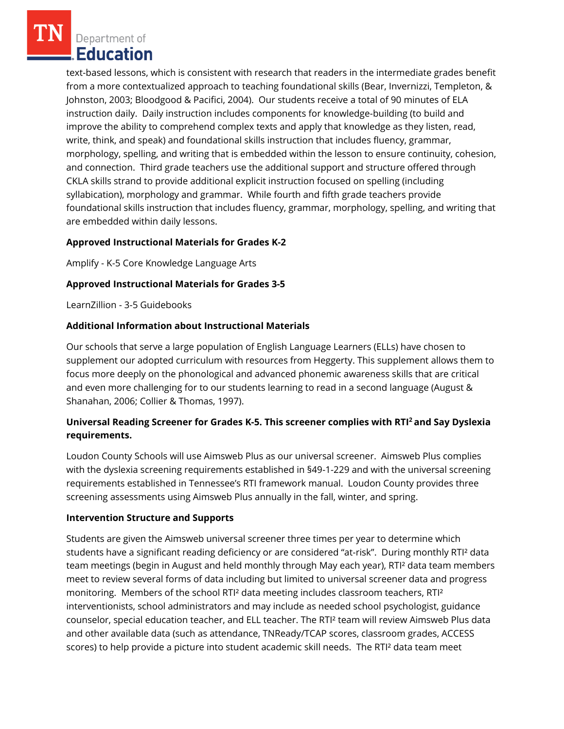text-based lessons, which is consistent with research that readers in the intermediate grades benefit from a more contextualized approach to teaching foundational skills (Bear, Invernizzi, Templeton, & Johnston, 2003; Bloodgood & Pacifici, 2004). Our students receive a total of 90 minutes of ELA instruction daily. Daily instruction includes components for knowledge-building (to build and improve the ability to comprehend complex texts and apply that knowledge as they listen, read, write, think, and speak) and foundational skills instruction that includes fluency, grammar, morphology, spelling, and writing that is embedded within the lesson to ensure continuity, cohesion, and connection. Third grade teachers use the additional support and structure offered through CKLA skills strand to provide additional explicit instruction focused on spelling (including syllabication), morphology and grammar. While fourth and fifth grade teachers provide foundational skills instruction that includes fluency, grammar, morphology, spelling, and writing that are embedded within daily lessons.

## **Approved Instructional Materials for Grades K-2**

Amplify - K-5 Core Knowledge Language Arts

## **Approved Instructional Materials for Grades 3-5**

LearnZillion - 3-5 Guidebooks

## **Additional Information about Instructional Materials**

Our schools that serve a large population of English Language Learners (ELLs) have chosen to supplement our adopted curriculum with resources from Heggerty. This supplement allows them to focus more deeply on the phonological and advanced phonemic awareness skills that are critical and even more challenging for to our students learning to read in a second language (August & Shanahan, 2006; Collier & Thomas, 1997).

# **Universal Reading Screener for Grades K-5. This screener complies with RTI<sup>2</sup>and Say Dyslexia requirements.**

Loudon County Schools will use Aimsweb Plus as our universal screener. Aimsweb Plus complies with the dyslexia screening requirements established in §49-1-229 and with the universal screening requirements established in Tennessee's RTI framework manual. Loudon County provides three screening assessments using Aimsweb Plus annually in the fall, winter, and spring.

## **Intervention Structure and Supports**

Students are given the Aimsweb universal screener three times per year to determine which students have a significant reading deficiency or are considered "at-risk". During monthly RTI² data team meetings (begin in August and held monthly through May each year), RTI² data team members meet to review several forms of data including but limited to universal screener data and progress monitoring. Members of the school RTI² data meeting includes classroom teachers, RTI² interventionists, school administrators and may include as needed school psychologist, guidance counselor, special education teacher, and ELL teacher. The RTI² team will review Aimsweb Plus data and other available data (such as attendance, TNReady/TCAP scores, classroom grades, ACCESS scores) to help provide a picture into student academic skill needs. The RTI² data team meet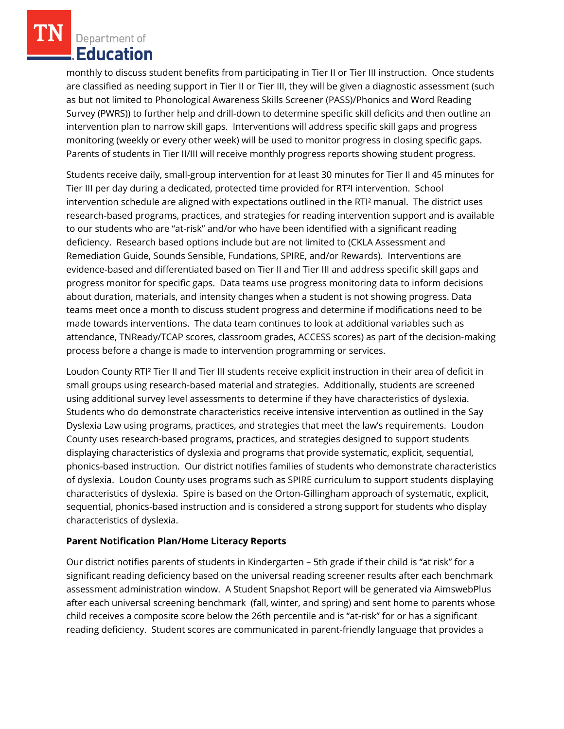monthly to discuss student benefits from participating in Tier II or Tier III instruction. Once students are classified as needing support in Tier II or Tier III, they will be given a diagnostic assessment (such as but not limited to Phonological Awareness Skills Screener (PASS)/Phonics and Word Reading Survey (PWRS)) to further help and drill-down to determine specific skill deficits and then outline an intervention plan to narrow skill gaps. Interventions will address specific skill gaps and progress monitoring (weekly or every other week) will be used to monitor progress in closing specific gaps. Parents of students in Tier II/III will receive monthly progress reports showing student progress.

Students receive daily, small-group intervention for at least 30 minutes for Tier II and 45 minutes for Tier III per day during a dedicated, protected time provided for RT²I intervention. School intervention schedule are aligned with expectations outlined in the RTI² manual. The district uses research-based programs, practices, and strategies for reading intervention support and is available to our students who are "at-risk" and/or who have been identified with a significant reading deficiency. Research based options include but are not limited to (CKLA Assessment and Remediation Guide, Sounds Sensible, Fundations, SPIRE, and/or Rewards). Interventions are evidence-based and differentiated based on Tier II and Tier III and address specific skill gaps and progress monitor for specific gaps. Data teams use progress monitoring data to inform decisions about duration, materials, and intensity changes when a student is not showing progress. Data teams meet once a month to discuss student progress and determine if modifications need to be made towards interventions. The data team continues to look at additional variables such as attendance, TNReady/TCAP scores, classroom grades, ACCESS scores) as part of the decision-making process before a change is made to intervention programming or services.

Loudon County RTI² Tier II and Tier III students receive explicit instruction in their area of deficit in small groups using research-based material and strategies. Additionally, students are screened using additional survey level assessments to determine if they have characteristics of dyslexia. Students who do demonstrate characteristics receive intensive intervention as outlined in the Say Dyslexia Law using programs, practices, and strategies that meet the law's requirements. Loudon County uses research-based programs, practices, and strategies designed to support students displaying characteristics of dyslexia and programs that provide systematic, explicit, sequential, phonics-based instruction. Our district notifies families of students who demonstrate characteristics of dyslexia. Loudon County uses programs such as SPIRE curriculum to support students displaying characteristics of dyslexia. Spire is based on the Orton-Gillingham approach of systematic, explicit, sequential, phonics-based instruction and is considered a strong support for students who display characteristics of dyslexia.

## **Parent Notification Plan/Home Literacy Reports**

Our district notifies parents of students in Kindergarten – 5th grade if their child is "at risk" for a significant reading deficiency based on the universal reading screener results after each benchmark assessment administration window. A Student Snapshot Report will be generated via AimswebPlus after each universal screening benchmark (fall, winter, and spring) and sent home to parents whose child receives a composite score below the 26th percentile and is "at-risk" for or has a significant reading deficiency. Student scores are communicated in parent-friendly language that provides a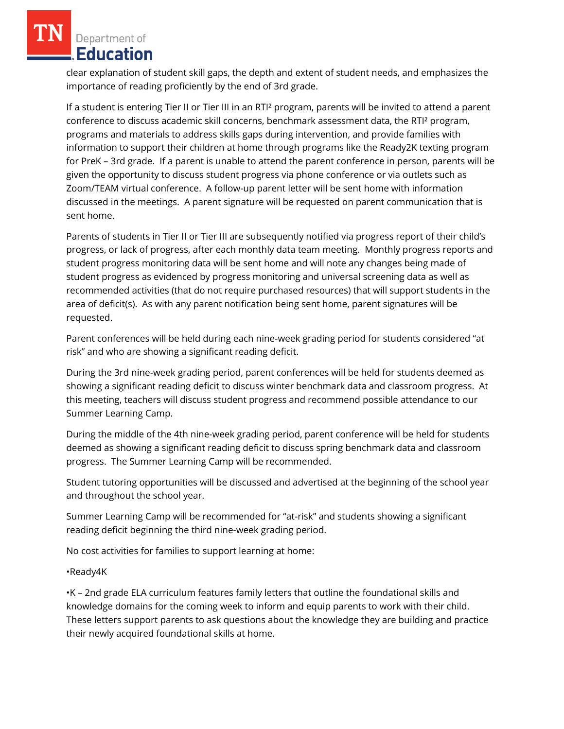clear explanation of student skill gaps, the depth and extent of student needs, and emphasizes the importance of reading proficiently by the end of 3rd grade.

If a student is entering Tier II or Tier III in an RTI² program, parents will be invited to attend a parent conference to discuss academic skill concerns, benchmark assessment data, the RTI² program, programs and materials to address skills gaps during intervention, and provide families with information to support their children at home through programs like the Ready2K texting program for PreK – 3rd grade. If a parent is unable to attend the parent conference in person, parents will be given the opportunity to discuss student progress via phone conference or via outlets such as Zoom/TEAM virtual conference. A follow-up parent letter will be sent home with information discussed in the meetings. A parent signature will be requested on parent communication that is sent home.

Parents of students in Tier II or Tier III are subsequently notified via progress report of their child's progress, or lack of progress, after each monthly data team meeting. Monthly progress reports and student progress monitoring data will be sent home and will note any changes being made of student progress as evidenced by progress monitoring and universal screening data as well as recommended activities (that do not require purchased resources) that will support students in the area of deficit(s). As with any parent notification being sent home, parent signatures will be requested.

Parent conferences will be held during each nine-week grading period for students considered "at risk" and who are showing a significant reading deficit.

During the 3rd nine-week grading period, parent conferences will be held for students deemed as showing a significant reading deficit to discuss winter benchmark data and classroom progress. At this meeting, teachers will discuss student progress and recommend possible attendance to our Summer Learning Camp.

During the middle of the 4th nine-week grading period, parent conference will be held for students deemed as showing a significant reading deficit to discuss spring benchmark data and classroom progress. The Summer Learning Camp will be recommended.

Student tutoring opportunities will be discussed and advertised at the beginning of the school year and throughout the school year.

Summer Learning Camp will be recommended for "at-risk" and students showing a significant reading deficit beginning the third nine-week grading period.

No cost activities for families to support learning at home:

•Ready4K

•K – 2nd grade ELA curriculum features family letters that outline the foundational skills and knowledge domains for the coming week to inform and equip parents to work with their child. These letters support parents to ask questions about the knowledge they are building and practice their newly acquired foundational skills at home.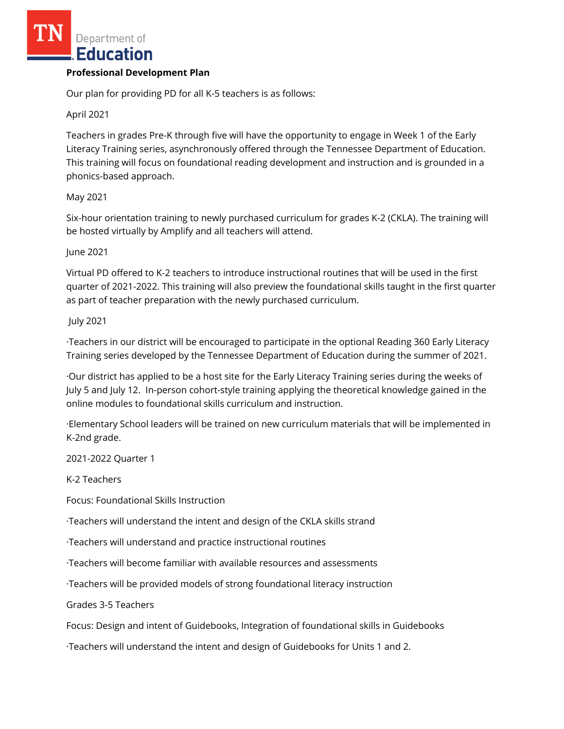#### **Professional Development Plan**

Our plan for providing PD for all K-5 teachers is as follows:

#### April 2021

Teachers in grades Pre-K through five will have the opportunity to engage in Week 1 of the Early Literacy Training series, asynchronously offered through the Tennessee Department of Education. This training will focus on foundational reading development and instruction and is grounded in a phonics-based approach.

#### May 2021

Six-hour orientation training to newly purchased curriculum for grades K-2 (CKLA). The training will be hosted virtually by Amplify and all teachers will attend.

#### June 2021

Virtual PD offered to K-2 teachers to introduce instructional routines that will be used in the first quarter of 2021-2022. This training will also preview the foundational skills taught in the first quarter as part of teacher preparation with the newly purchased curriculum.

#### July 2021

·Teachers in our district will be encouraged to participate in the optional Reading 360 Early Literacy Training series developed by the Tennessee Department of Education during the summer of 2021.

·Our district has applied to be a host site for the Early Literacy Training series during the weeks of July 5 and July 12. In-person cohort-style training applying the theoretical knowledge gained in the online modules to foundational skills curriculum and instruction.

·Elementary School leaders will be trained on new curriculum materials that will be implemented in K-2nd grade.

2021-2022 Quarter 1

K-2 Teachers

Focus: Foundational Skills Instruction

·Teachers will understand the intent and design of the CKLA skills strand

·Teachers will understand and practice instructional routines

·Teachers will become familiar with available resources and assessments

·Teachers will be provided models of strong foundational literacy instruction

Grades 3-5 Teachers

Focus: Design and intent of Guidebooks, Integration of foundational skills in Guidebooks

·Teachers will understand the intent and design of Guidebooks for Units 1 and 2.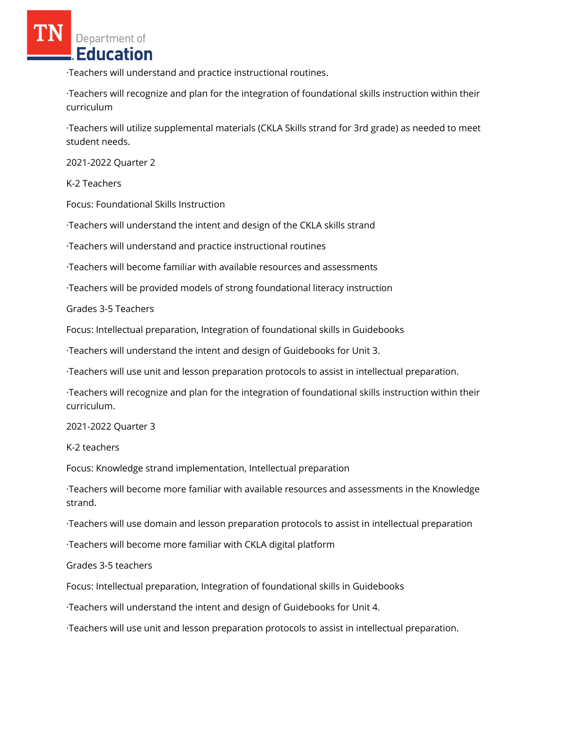·Teachers will understand and practice instructional routines.

·Teachers will recognize and plan for the integration of foundational skills instruction within their curriculum

·Teachers will utilize supplemental materials (CKLA Skills strand for 3rd grade) as needed to meet student needs.

2021-2022 Quarter 2

K-2 Teachers

Focus: Foundational Skills Instruction

·Teachers will understand the intent and design of the CKLA skills strand

·Teachers will understand and practice instructional routines

·Teachers will become familiar with available resources and assessments

·Teachers will be provided models of strong foundational literacy instruction

Grades 3-5 Teachers

Focus: Intellectual preparation, Integration of foundational skills in Guidebooks

·Teachers will understand the intent and design of Guidebooks for Unit 3.

·Teachers will use unit and lesson preparation protocols to assist in intellectual preparation.

·Teachers will recognize and plan for the integration of foundational skills instruction within their curriculum.

2021-2022 Quarter 3

K-2 teachers

Focus: Knowledge strand implementation, Intellectual preparation

·Teachers will become more familiar with available resources and assessments in the Knowledge strand.

·Teachers will use domain and lesson preparation protocols to assist in intellectual preparation

·Teachers will become more familiar with CKLA digital platform

Grades 3-5 teachers

Focus: Intellectual preparation, Integration of foundational skills in Guidebooks

·Teachers will understand the intent and design of Guidebooks for Unit 4.

·Teachers will use unit and lesson preparation protocols to assist in intellectual preparation.